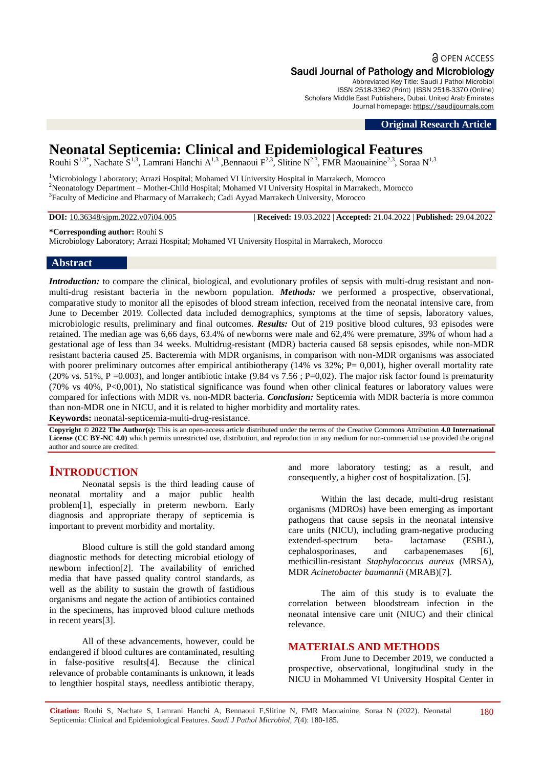# a OPEN ACCESS

Saudi Journal of Pathology and Microbiology Abbreviated Key Title: Saudi J Pathol Microbiol ISSN 2518-3362 (Print) |ISSN 2518-3370 (Online) Scholars Middle East Publishers, Dubai, United Arab Emirates Journal homepage: [https://saudijournals.com](https://saudijournals.com/sjpm)

**Original Research Article**

# **Neonatal Septicemia: Clinical and Epidemiological Features**

Rouhi S<sup>1,3\*</sup>, Nachate S<sup>1,3</sup>, Lamrani Hanchi A<sup>1,3</sup> ,Bennaoui F<sup>2,3</sup>, Slitine N<sup>2,3</sup>, FMR Maouainine<sup>2,3</sup>, Soraa N<sup>1,3</sup>

<sup>1</sup>Microbiology Laboratory; Arrazi Hospital; Mohamed VI University Hospital in Marrakech, Morocco <sup>2</sup>Neonatology Department – Mother-Child Hospital; Mohamed VI University Hospital in Marrakech, Morocco <sup>3</sup>Faculty of Medicine and Pharmacy of Marrakech; Cadi Ayyad Marrakech University, Morocco

**DOI:** 10.36348/sjpm.2022.v07i04.005 | **Received:** 19.03.2022 | **Accepted:** 21.04.2022 | **Published:** 29.04.2022

**\*Corresponding author:** Rouhi S

Microbiology Laboratory; Arrazi Hospital; Mohamed VI University Hospital in Marrakech, Morocco

#### **Abstract**

*Introduction:* to compare the clinical, biological, and evolutionary profiles of sepsis with multi-drug resistant and nonmulti-drug resistant bacteria in the newborn population. *Methods:* we performed a prospective, observational, comparative study to monitor all the episodes of blood stream infection, received from the neonatal intensive care, from June to December 2019. Collected data included demographics, symptoms at the time of sepsis, laboratory values, microbiologic results, preliminary and final outcomes. *Results:* Out of 219 positive blood cultures, 93 episodes were retained. The median age was 6,66 days, 63.4% of newborns were male and 62,4% were premature, 39% of whom had a gestational age of less than 34 weeks. Multidrug-resistant (MDR) bacteria caused 68 sepsis episodes, while non-MDR resistant bacteria caused 25. Bacteremia with MDR organisms, in comparison with non-MDR organisms was associated with poorer preliminary outcomes after empirical antibiotherapy (14% vs  $32\%$ ; P= 0,001), higher overall mortality rate (20% vs. 51%, P = 0.003), and longer antibiotic intake (9.84 vs 7.56; P=0.02). The major risk factor found is prematurity (70% vs 40%, P<0,001), No statistical significance was found when other clinical features or laboratory values were compared for infections with MDR vs. non-MDR bacteria. *Conclusion:* Septicemia with MDR bacteria is more common than non-MDR one in NICU, and it is related to higher morbidity and mortality rates.

**Keywords:** neonatal-septicemia-multi-drug-resistance.

**Copyright © 2022 The Author(s):** This is an open-access article distributed under the terms of the Creative Commons Attribution **4.0 International License (CC BY-NC 4.0)** which permits unrestricted use, distribution, and reproduction in any medium for non-commercial use provided the original author and source are credited.

## **INTRODUCTION**

Neonatal sepsis is the third leading cause of neonatal mortality and a major public health problem[1], especially in preterm newborn. Early diagnosis and appropriate therapy of septicemia is important to prevent morbidity and mortality.

Blood culture is still the gold standard among diagnostic methods for detecting microbial etiology of newborn infection[2]. The availability of enriched media that have passed quality control standards, as well as the ability to sustain the growth of fastidious organisms and negate the action of antibiotics contained in the specimens, has improved blood culture methods in recent years[3].

All of these advancements, however, could be endangered if blood cultures are contaminated, resulting in false-positive results[4]. Because the clinical relevance of probable contaminants is unknown, it leads to lengthier hospital stays, needless antibiotic therapy,

and more laboratory testing; as a result, and consequently, a higher cost of hospitalization. [5].

Within the last decade, multi-drug resistant organisms (MDROs) have been emerging as important pathogens that cause sepsis in the neonatal intensive care units (NICU), including gram-negative producing extended-spectrum beta- lactamase (ESBL), cephalosporinases, and carbapenemases [6], methicillin-resistant *Staphylococcus aureus* (MRSA), MDR *Acinetobacter baumannii* (MRAB)[7].

The aim of this study is to evaluate the correlation between bloodstream infection in the neonatal intensive care unit (NIUC) and their clinical relevance.

### **MATERIALS AND METHODS**

From June to December 2019, we conducted a prospective, observational, longitudinal study in the NICU in Mohammed VI University Hospital Center in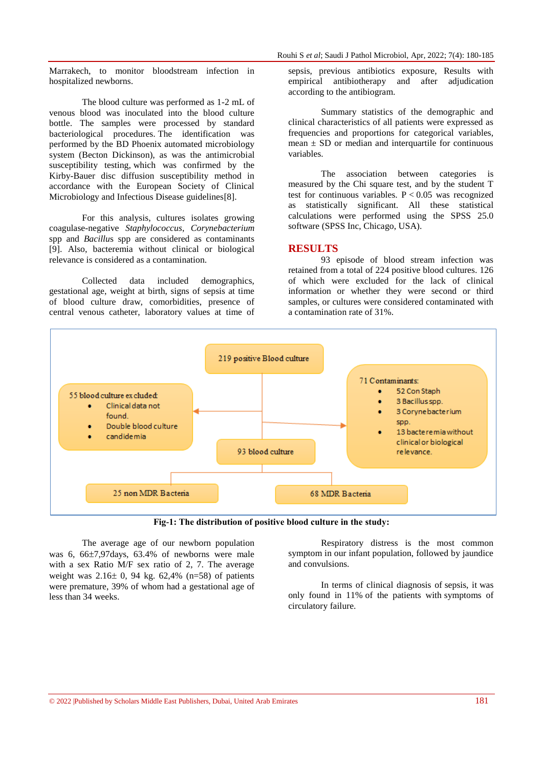Rouhi S *et al*; Saudi J Pathol Microbiol, Apr, 2022; 7(4): 180-185

Marrakech, to monitor bloodstream infection in hospitalized newborns.

The blood culture was performed as 1-2 mL of venous blood was inoculated into the blood culture bottle. The samples were processed by standard bacteriological procedures. The identification was performed by the BD Phoenix automated microbiology system (Becton Dickinson), as was the antimicrobial susceptibility testing, which was confirmed by the Kirby-Bauer disc diffusion susceptibility method in accordance with the European Society of Clinical Microbiology and Infectious Disease guidelines<sup>[8]</sup>.

For this analysis, cultures isolates growing coagulase-negative *Staphylococcus*, *Corynebacterium* spp and *Bacillu*s spp are considered as contaminants [9]. Also, bacteremia without clinical or biological relevance is considered as a contamination.

Collected data included demographics, gestational age, weight at birth, signs of sepsis at time of blood culture draw, comorbidities, presence of central venous catheter, laboratory values at time of sepsis, previous antibiotics exposure, Results with empirical antibiotherapy and after adjudication according to the antibiogram.

Summary statistics of the demographic and clinical characteristics of all patients were expressed as frequencies and proportions for categorical variables, mean  $\pm$  SD or median and interquartile for continuous variables.

The association between categories is measured by the Chi square test, and by the student T test for continuous variables.  $P < 0.05$  was recognized as statistically significant. All these statistical calculations were performed using the SPSS 25.0 software (SPSS Inc, Chicago, USA).

### **RESULTS**

93 episode of blood stream infection was retained from a total of 224 positive blood cultures. 126 of which were excluded for the lack of clinical information or whether they were second or third samples, or cultures were considered contaminated with a contamination rate of 31%.



**Fig-1: The distribution of positive blood culture in the study:**

The average age of our newborn population was 6,  $66\pm7.97$  days,  $63.4\%$  of newborns were male with a sex Ratio M/F sex ratio of 2, 7. The average weight was  $2.16 \pm 0$ , 94 kg. 62,4% (n=58) of patients were premature, 39% of whom had a gestational age of less than 34 weeks.

Respiratory distress is the most common symptom in our infant population, followed by jaundice and convulsions.

In terms of clinical diagnosis of sepsis, it was only found in 11% of the patients with symptoms of circulatory failure.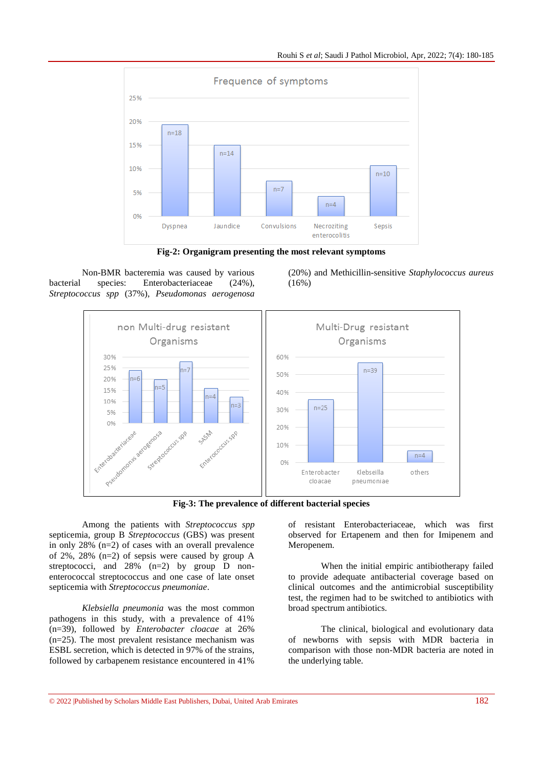

**Fig-2: Organigram presenting the most relevant symptoms**

Non-BMR bacteremia was caused by various bacterial species: Enterobacteriaceae (24%), *Streptococcus spp* (37%), *Pseudomonas aerogenosa*





**Fig-3: The prevalence of different bacterial species**

Among the patients with *Streptococcus spp* septicemia, group B *Streptococcus* (GBS) was present in only 28% (n=2) of cases with an overall prevalence of 2%, 28% (n=2) of sepsis were caused by group A streptococci, and  $28\%$  (n=2) by group D nonenterococcal streptococcus and one case of late onset septicemia with *Streptococcus pneumoniae*.

*Klebsiella pneumonia* was the most common pathogens in this study, with a prevalence of 41% (n=39), followed by *Enterobacter cloacae* at 26% (n=25). The most prevalent resistance mechanism was ESBL secretion, which is detected in 97% of the strains, followed by carbapenem resistance encountered in 41%

of resistant Enterobacteriaceae, which was first observed for Ertapenem and then for Imipenem and Meropenem.

When the initial empiric antibiotherapy failed to provide adequate antibacterial coverage based on clinical outcomes and the antimicrobial susceptibility test, the regimen had to be switched to antibiotics with broad spectrum antibiotics.

The clinical, biological and evolutionary data of newborns with sepsis with MDR bacteria in comparison with those non-MDR bacteria are noted in the underlying table.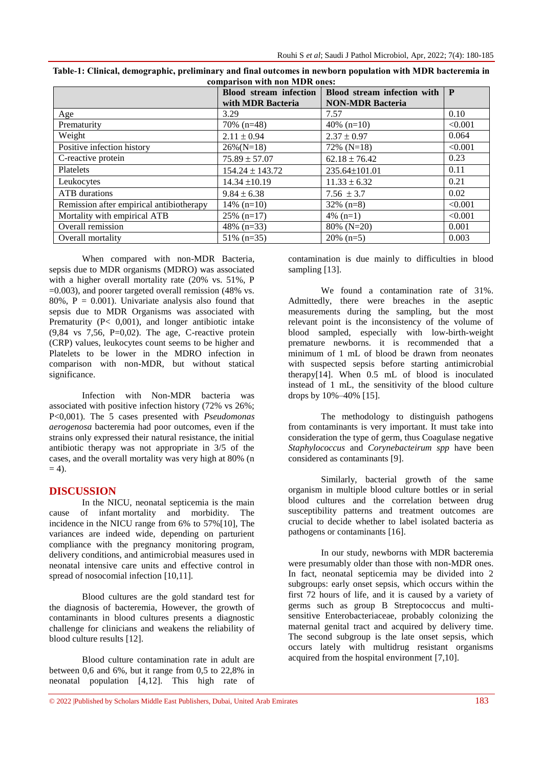|                                          | <b>Blood</b> stream infection<br>with MDR Bacteria | Blood stream infection with<br><b>NON-MDR Bacteria</b> | P       |
|------------------------------------------|----------------------------------------------------|--------------------------------------------------------|---------|
| Age                                      | 3.29                                               | 7.57                                                   | 0.10    |
| Prematurity                              | $70\%$ (n=48)                                      | 40\% $(n=10)$                                          | < 0.001 |
| Weight                                   | $2.11 \pm 0.94$                                    | $2.37 \pm 0.97$                                        | 0.064   |
| Positive infection history               | $26\%$ (N=18)                                      | $72\%$ (N=18)                                          | < 0.001 |
| C-reactive protein                       | $75.89 \pm 57.07$                                  | $62.18 \pm 76.42$                                      | 0.23    |
| Platelets                                | $154.24 \pm 143.72$                                | 235.64±101.01                                          | 0.11    |
| Leukocytes                               | $14.34 \pm 10.19$                                  | $11.33 \pm 6.32$                                       | 0.21    |
| <b>ATB</b> durations                     | $9.84 \pm 6.38$                                    | 7.56 $\pm$ 3.7                                         | 0.02    |
| Remission after empirical antibiotherapy | $14\%$ (n=10)                                      | $32\%$ (n=8)                                           | < 0.001 |
| Mortality with empirical ATB             | $25\%$ (n=17)                                      | $4\%$ (n=1)                                            | < 0.001 |
| Overall remission                        | 48% $(n=33)$                                       | 80% (N=20)                                             | 0.001   |
| Overall mortality                        | $51\%$ (n=35)                                      | $20\%$ (n=5)                                           | 0.003   |

| Table-1: Clinical, demographic, preliminary and final outcomes in newborn population with MDR bacteremia in |
|-------------------------------------------------------------------------------------------------------------|
| comparison with non MDR ones:                                                                               |

When compared with non-MDR Bacteria, sepsis due to MDR organisms (MDRO) was associated with a higher overall mortality rate (20% vs. 51%, P =0.003), and poorer targeted overall remission (48% vs. 80%,  $P = 0.001$ ). Univariate analysis also found that sepsis due to MDR Organisms was associated with Prematurity (P< 0,001), and longer antibiotic intake  $(9,84 \text{ vs } 7,56, \text{ P} = 0,02)$ . The age, C-reactive protein (CRP) values, leukocytes count seems to be higher and Platelets to be lower in the MDRO infection in comparison with non-MDR, but without statical significance.

Infection with Non-MDR bacteria was associated with positive infection history (72% vs 26%; P<0,001). The 5 cases presented with *Pseudomonas aerogenosa* bacteremia had poor outcomes, even if the strains only expressed their natural resistance, the initial antibiotic therapy was not appropriate in 3/5 of the cases, and the overall mortality was very high at 80% (n  $= 4$ ).

#### **DISCUSSION**

In the NICU, neonatal septicemia is the main cause of infant mortality and morbidity. The incidence in the NICU range from 6% to 57%[10], The variances are indeed wide, depending on parturient compliance with the pregnancy monitoring program, delivery conditions, and antimicrobial measures used in neonatal intensive care units and effective control in spread of nosocomial infection [10,11].

Blood cultures are the gold standard test for the diagnosis of bacteremia, However, the growth of contaminants in blood cultures presents a diagnostic challenge for clinicians and weakens the reliability of blood culture results [12].

Blood culture contamination rate in adult are between 0,6 and 6%, but it range from 0,5 to 22,8% in neonatal population [4,12]. This high rate of contamination is due mainly to difficulties in blood sampling [13].

We found a contamination rate of 31%. Admittedly, there were breaches in the aseptic measurements during the sampling, but the most relevant point is the inconsistency of the volume of blood sampled, especially with low-birth-weight premature newborns. it is recommended that a minimum of 1 mL of blood be drawn from neonates with suspected sepsis before starting antimicrobial therapy[14]. When 0.5 mL of blood is inoculated instead of 1 mL, the sensitivity of the blood culture drops by 10%–40% [15].

The methodology to distinguish pathogens from contaminants is very important. It must take into consideration the type of germ, thus Coagulase negative *Staphylococcus* and *Corynebacteirum spp* have been considered as contaminants [9].

Similarly, bacterial growth of the same organism in multiple blood culture bottles or in serial blood cultures and the correlation between drug susceptibility patterns and treatment outcomes are crucial to decide whether to label isolated bacteria as pathogens or contaminants [16].

In our study, newborns with MDR bacteremia were presumably older than those with non-MDR ones. In fact, neonatal septicemia may be divided into 2 subgroups: early onset sepsis, which occurs within the first 72 hours of life, and it is caused by a variety of germs such as group B Streptococcus and multisensitive Enterobacteriaceae, probably colonizing the maternal genital tract and acquired by delivery time. The second subgroup is the late onset sepsis, which occurs lately with multidrug resistant organisms acquired from the hospital environment [7,10].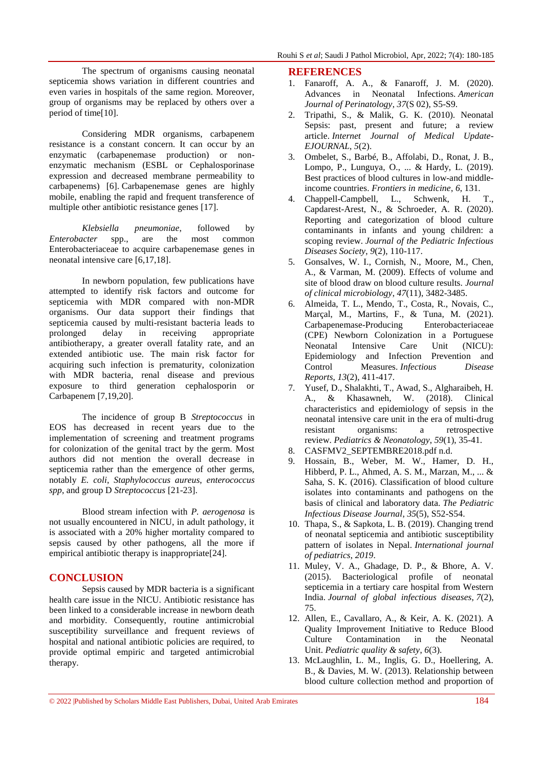The spectrum of organisms causing neonatal septicemia shows variation in different countries and even varies in hospitals of the same region. Moreover, group of organisms may be replaced by others over a period of time[10].

Considering MDR organisms, carbapenem resistance is a constant concern. It can occur by an enzymatic (carbapenemase production) or nonenzymatic mechanism (ESBL or Cephalosporinase expression and decreased membrane permeability to carbapenems) [6]. Carbapenemase genes are highly mobile, enabling the rapid and frequent transference of multiple other antibiotic resistance genes [17].

*Klebsiella pneumoniae*, followed by *Enterobacter* spp., are the most common Enterobacteriaceae to acquire carbapenemase genes in neonatal intensive care [6,17,18].

In newborn population, few publications have attempted to identify risk factors and outcome for septicemia with MDR compared with non-MDR organisms. Our data support their findings that septicemia caused by multi-resistant bacteria leads to prolonged delay in receiving appropriate antibiotherapy, a greater overall fatality rate, and an extended antibiotic use. The main risk factor for acquiring such infection is prematurity, colonization with MDR bacteria, renal disease and previous exposure to third generation cephalosporin or Carbapenem [7,19,20].

The incidence of group B *Streptococcus* in EOS has decreased in recent years due to the implementation of screening and treatment programs for colonization of the genital tract by the germ. Most authors did not mention the overall decrease in septicemia rather than the emergence of other germs, notably *E. coli*, *Staphylococcus aureus*, *enterococcus spp*, and group D *Streptococcus* [21-23].

Blood stream infection with *P. aerogenosa* is not usually encountered in NICU, in adult pathology, it is associated with a 20% higher mortality compared to sepsis caused by other pathogens, all the more if empirical antibiotic therapy is inappropriate[24].

### **CONCLUSION**

Sepsis caused by MDR bacteria is a significant health care issue in the NICU. Antibiotic resistance has been linked to a considerable increase in newborn death and morbidity. Consequently, routine antimicrobial susceptibility surveillance and frequent reviews of hospital and national antibiotic policies are required, to provide optimal empiric and targeted antimicrobial therapy.

#### **REFERENCES**

- 1. Fanaroff, A. A., & Fanaroff, J. M. (2020). Advances in Neonatal Infections. *American Journal of Perinatology*, *37*(S 02), S5-S9.
- 2. Tripathi, S., & Malik, G. K. (2010). Neonatal Sepsis: past, present and future; a review article. *Internet Journal of Medical Update-EJOURNAL*, *5*(2).
- 3. Ombelet, S., Barbé, B., Affolabi, D., Ronat, J. B., Lompo, P., Lunguya, O., ... & Hardy, L. (2019). Best practices of blood cultures in low-and middleincome countries. *Frontiers in medicine*, *6*, 131.
- 4. Chappell-Campbell, L., Schwenk, H. T., Capdarest-Arest, N., & Schroeder, A. R. (2020). Reporting and categorization of blood culture contaminants in infants and young children: a scoping review. *Journal of the Pediatric Infectious Diseases Society*, *9*(2), 110-117.
- 5. Gonsalves, W. I., Cornish, N., Moore, M., Chen, A., & Varman, M. (2009). Effects of volume and site of blood draw on blood culture results. *Journal of clinical microbiology*, *47*(11), 3482-3485.
- 6. Almeida, T. L., Mendo, T., Costa, R., Novais, C., Marçal, M., Martins, F., & Tuna, M. (2021). Carbapenemase-Producing Enterobacteriaceae (CPE) Newborn Colonization in a Portuguese Neonatal Intensive Care Unit (NICU): Epidemiology and Infection Prevention and Control Measures. *Infectious Disease Reports*, *13*(2), 411-417.
- 7. Yusef, D., Shalakhti, T., Awad, S., Algharaibeh, H. A., & Khasawneh, W. (2018). Clinical characteristics and epidemiology of sepsis in the neonatal intensive care unit in the era of multi-drug resistant organisms: a retrospective review. *Pediatrics & Neonatology*, *59*(1), 35-41.
- 8. CASFMV2\_SEPTEMBRE2018.pdf n.d.
- 9. Hossain, B., Weber, M. W., Hamer, D. H., Hibberd, P. L., Ahmed, A. S. M., Marzan, M., ... & Saha, S. K. (2016). Classification of blood culture isolates into contaminants and pathogens on the basis of clinical and laboratory data. *The Pediatric Infectious Disease Journal*, *35*(5), S52-S54.
- 10. Thapa, S., & Sapkota, L. B. (2019). Changing trend of neonatal septicemia and antibiotic susceptibility pattern of isolates in Nepal. *International journal of pediatrics*, *2019*.
- 11. Muley, V. A., Ghadage, D. P., & Bhore, A. V. (2015). Bacteriological profile of neonatal septicemia in a tertiary care hospital from Western India. *Journal of global infectious diseases*, *7*(2), 75.
- 12. Allen, E., Cavallaro, A., & Keir, A. K. (2021). A Quality Improvement Initiative to Reduce Blood Culture Contamination in the Neonatal Unit. *Pediatric quality & safety*, *6*(3).
- 13. McLaughlin, L. M., Inglis, G. D., Hoellering, A. B., & Davies, M. W. (2013). Relationship between blood culture collection method and proportion of